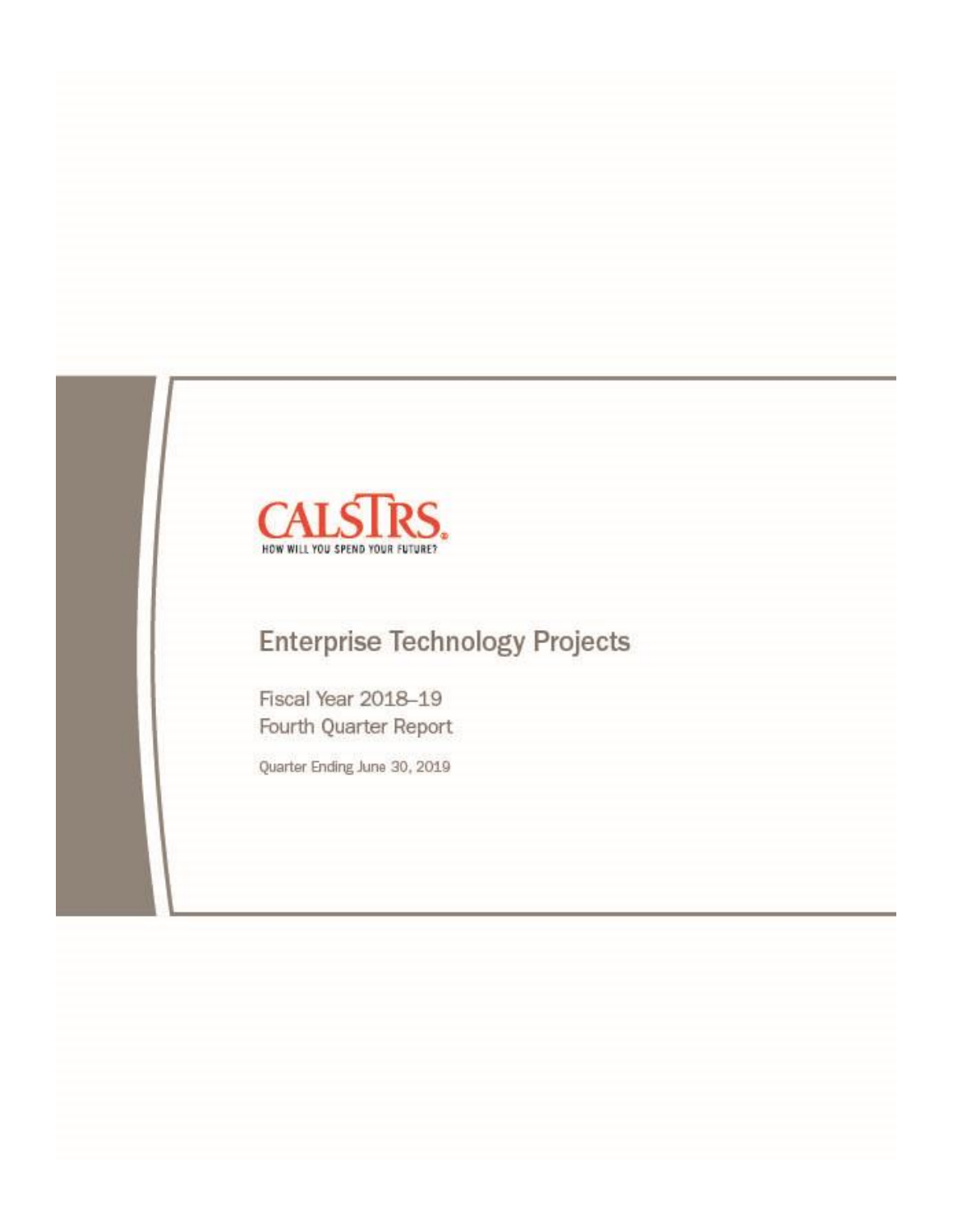

# **Enterprise Technology Projects**

Fiscal Year 2018-19 Fourth Quarter Report

Quarter Ending June 30, 2019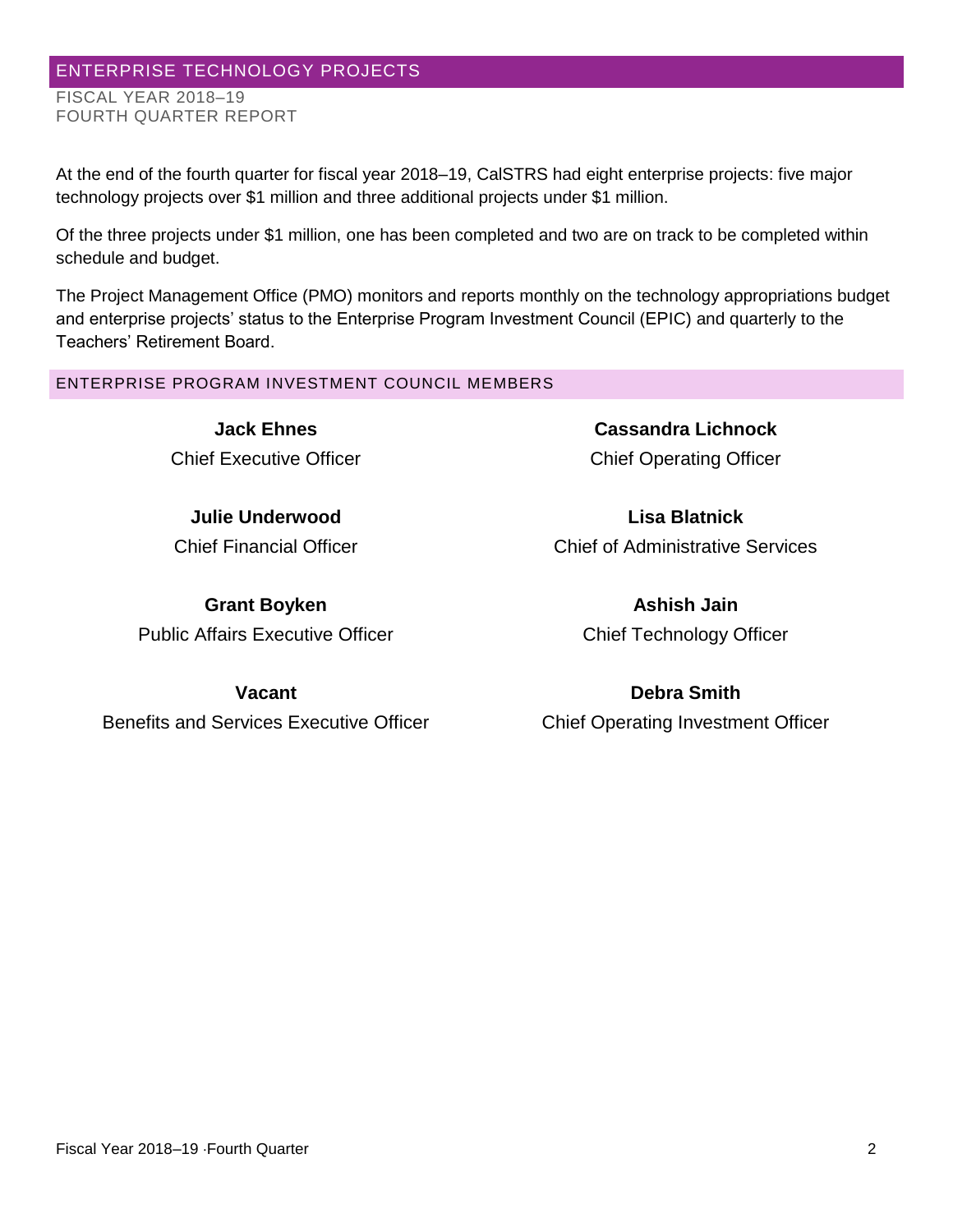## ENTERPRISE TECHNOLOGY PROJECTS

FISCAL YEAR 2018–19 FOURTH QUARTER REPORT

At the end of the fourth quarter for fiscal year 2018–19, CalSTRS had eight enterprise projects: five major technology projects over \$1 million and three additional projects under \$1 million.

Of the three projects under \$1 million, one has been completed and two are on track to be completed within schedule and budget.

The Project Management Office (PMO) monitors and reports monthly on the technology appropriations budget and enterprise projects' status to the Enterprise Program Investment Council (EPIC) and quarterly to the Teachers' Retirement Board.

ENTERPRISE PROGRAM INVESTMENT COUNCIL MEMBERS

**Jack Ehnes** Chief Executive Officer

**Julie Underwood**  Chief Financial Officer

**Grant Boyken**  Public Affairs Executive Officer

**Cassandra Lichnock** Chief Operating Officer

**Lisa Blatnick**  Chief of Administrative Services

> **Ashish Jain**  Chief Technology Officer

**Vacant**  Benefits and Services Executive Officer

**Debra Smith**  Chief Operating Investment Officer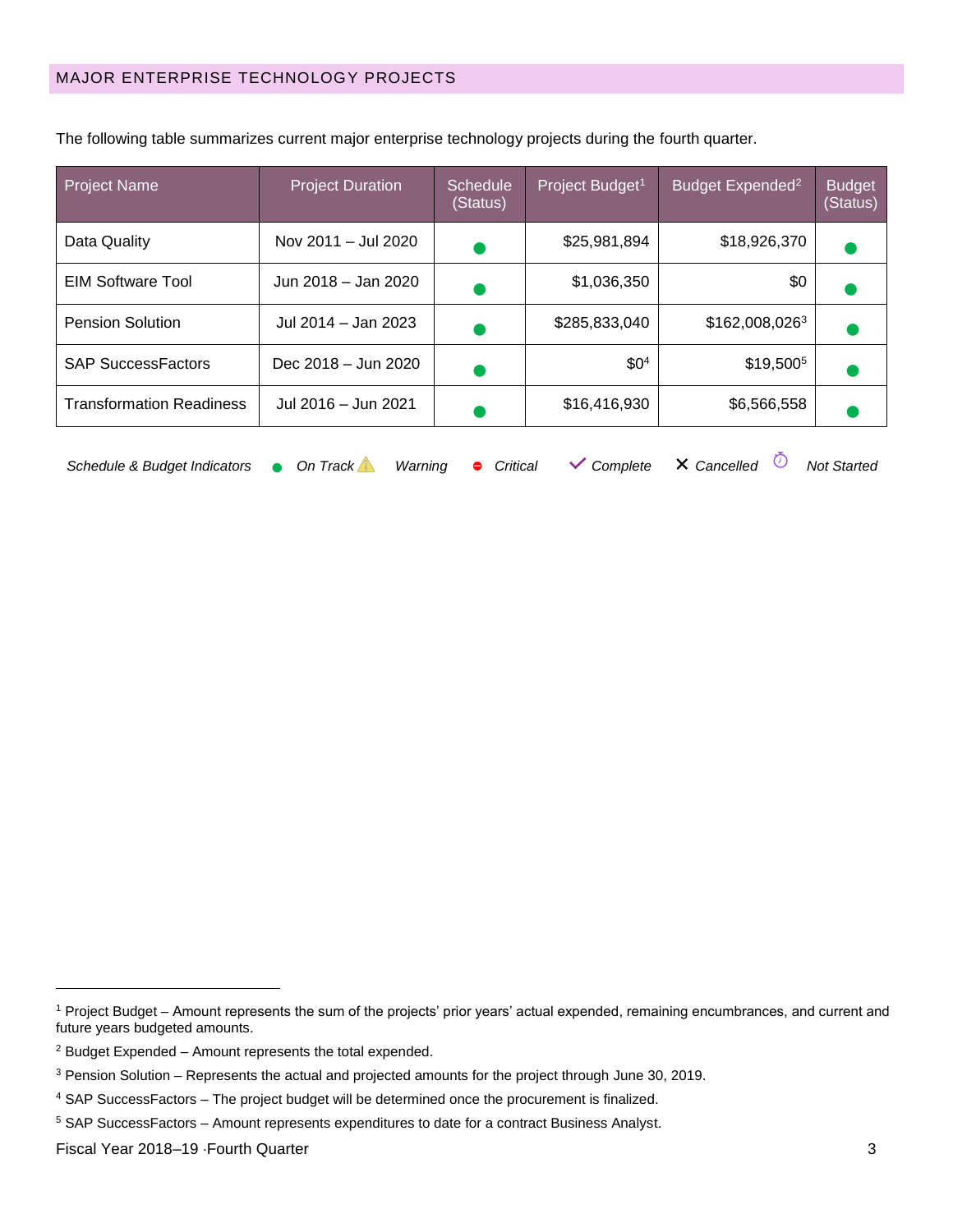| <b>Project Name</b>             | <b>Project Duration</b> | <b>Schedule</b><br>(Status) | Project Budget <sup>1</sup> | Budget Expended <sup>2</sup> | <b>Budget</b><br>(Status) |
|---------------------------------|-------------------------|-----------------------------|-----------------------------|------------------------------|---------------------------|
| Data Quality                    | Nov 2011 - Jul 2020     |                             | \$25,981,894                | \$18,926,370                 |                           |
| EIM Software Tool               | Jun 2018 - Jan 2020     |                             | \$1,036,350                 | \$0                          |                           |
| <b>Pension Solution</b>         | Jul 2014 - Jan 2023     |                             | \$285,833,040               | \$162,008,0263               |                           |
| <b>SAP SuccessFactors</b>       | Dec 2018 - Jun 2020     |                             | \$0 <sup>4</sup>            | \$19,500 <sup>5</sup>        |                           |
| <b>Transformation Readiness</b> | Jul 2016 - Jun 2021     |                             | \$16,416,930                | \$6,566,558                  |                           |
|                                 |                         |                             |                             |                              |                           |

The following table summarizes current major enterprise technology projects during the fourth quarter.

| Schedule & Budget Indicators $\bullet$ On Track Warning $\bullet$ Critical $\checkmark$ Complete $\checkmark$ Cancelled $\circledcirc$ Not Started |  |  |  |  |  |  |  |  |  |  |  |
|----------------------------------------------------------------------------------------------------------------------------------------------------|--|--|--|--|--|--|--|--|--|--|--|
|----------------------------------------------------------------------------------------------------------------------------------------------------|--|--|--|--|--|--|--|--|--|--|--|

<sup>1</sup> Project Budget – Amount represents the sum of the projects' prior years' actual expended, remaining encumbrances, and current and future years budgeted amounts.

 $2$  Budget Expended  $-$  Amount represents the total expended.

<sup>&</sup>lt;sup>3</sup> Pension Solution – Represents the actual and projected amounts for the project through June 30, 2019.

<sup>4</sup> SAP SuccessFactors – The project budget will be determined once the procurement is finalized.

<sup>&</sup>lt;sup>5</sup> SAP SuccessFactors - Amount represents expenditures to date for a contract Business Analyst.

Fiscal Year 2018–19 Fourth Quarter 3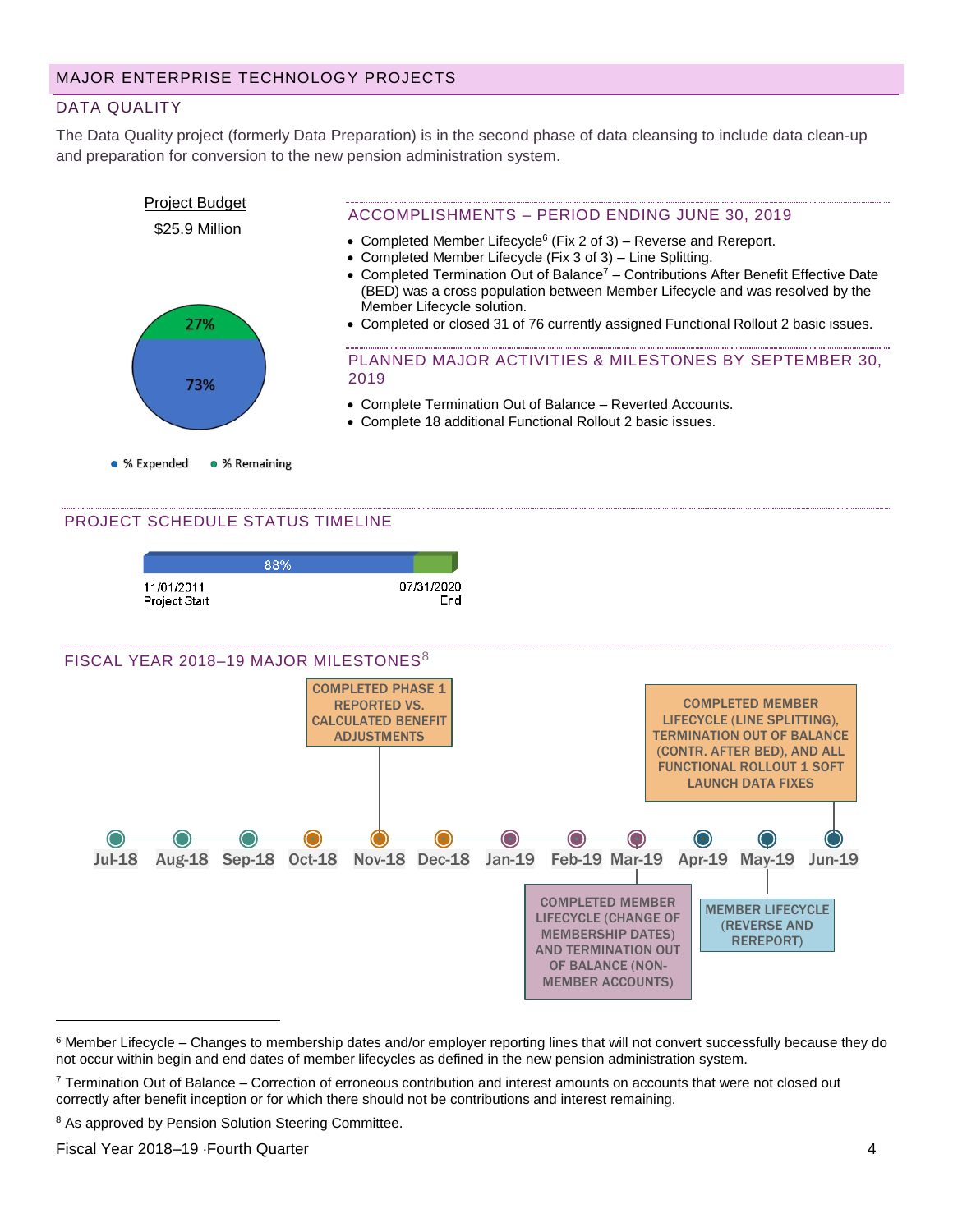## DATA QUALITY

The Data Quality project (formerly Data Preparation) is in the second phase of data cleansing to include data clean-up and preparation for conversion to the new pension administration system.



#### PROJECT SCHEDULE STATUS TIMELINE

|                                    | 88% |                   |
|------------------------------------|-----|-------------------|
| 11/01/2011<br><b>Project Start</b> |     | 07/31/2020<br>End |



<sup>&</sup>lt;sup>6</sup> Member Lifecycle – Changes to membership dates and/or employer reporting lines that will not convert successfully because they do not occur within begin and end dates of member lifecycles as defined in the new pension administration system.

<sup>8</sup> As approved by Pension Solution Steering Committee.

Fiscal Year 2018–19 Fourth Quarter 4

<sup>7</sup> Termination Out of Balance – Correction of erroneous contribution and interest amounts on accounts that were not closed out correctly after benefit inception or for which there should not be contributions and interest remaining.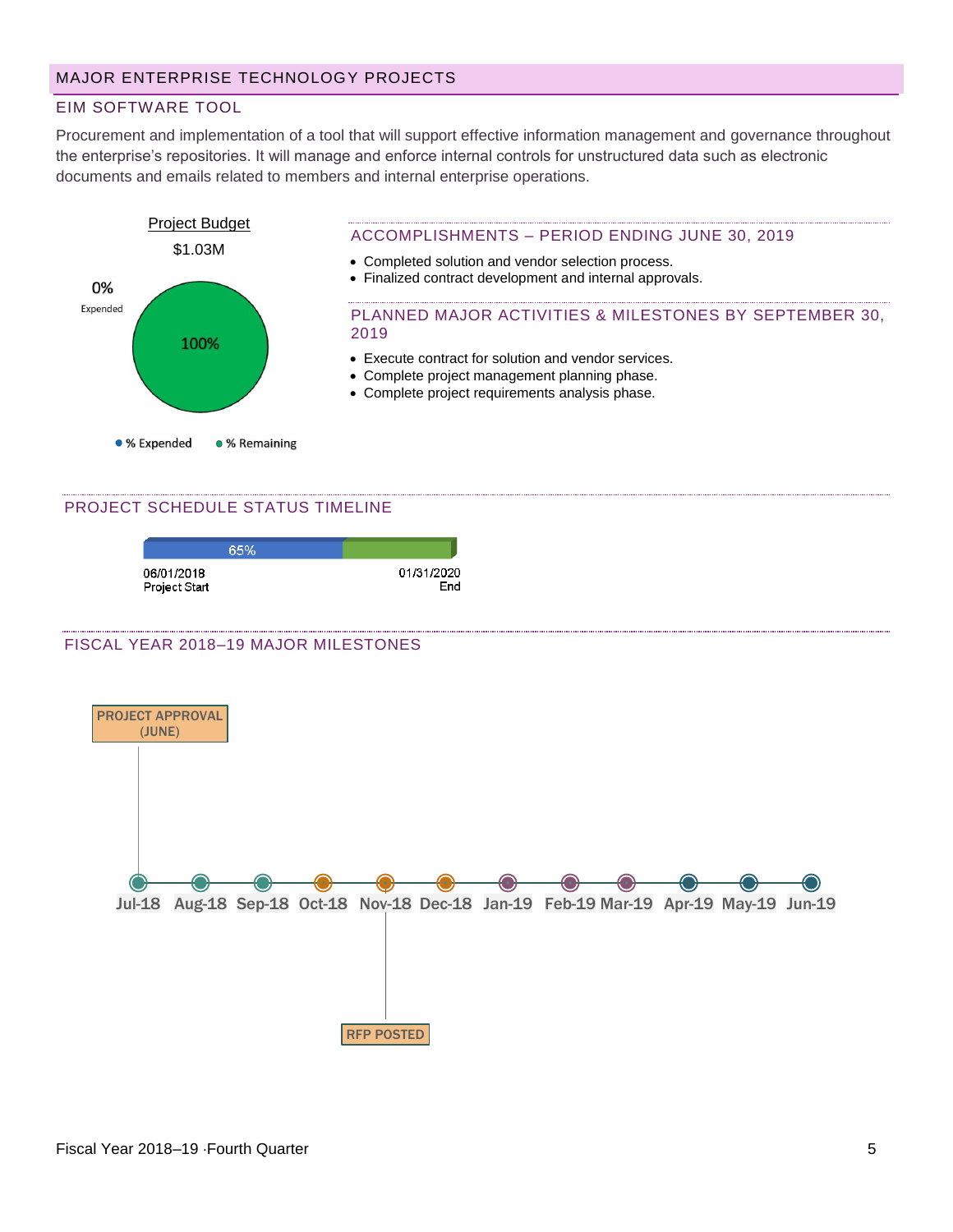## MAJOR ENTERPRISE TECHNOLOGY PROJECTS

## EIM SOFTWARE TOOL

Procurement and implementation of a tool that will support effective information management and governance throughout the enterprise's repositories. It will manage and enforce internal controls for unstructured data such as electronic documents and emails related to members and internal enterprise operations.



#### PROJECT SCHEDULE STATUS TIMELINE

|                             | 65% |                   |
|-----------------------------|-----|-------------------|
| 06/01/2018<br>Project Start |     | 01/31/2020<br>End |

#### FISCAL YEAR 2018–19 MAJOR MILESTONES

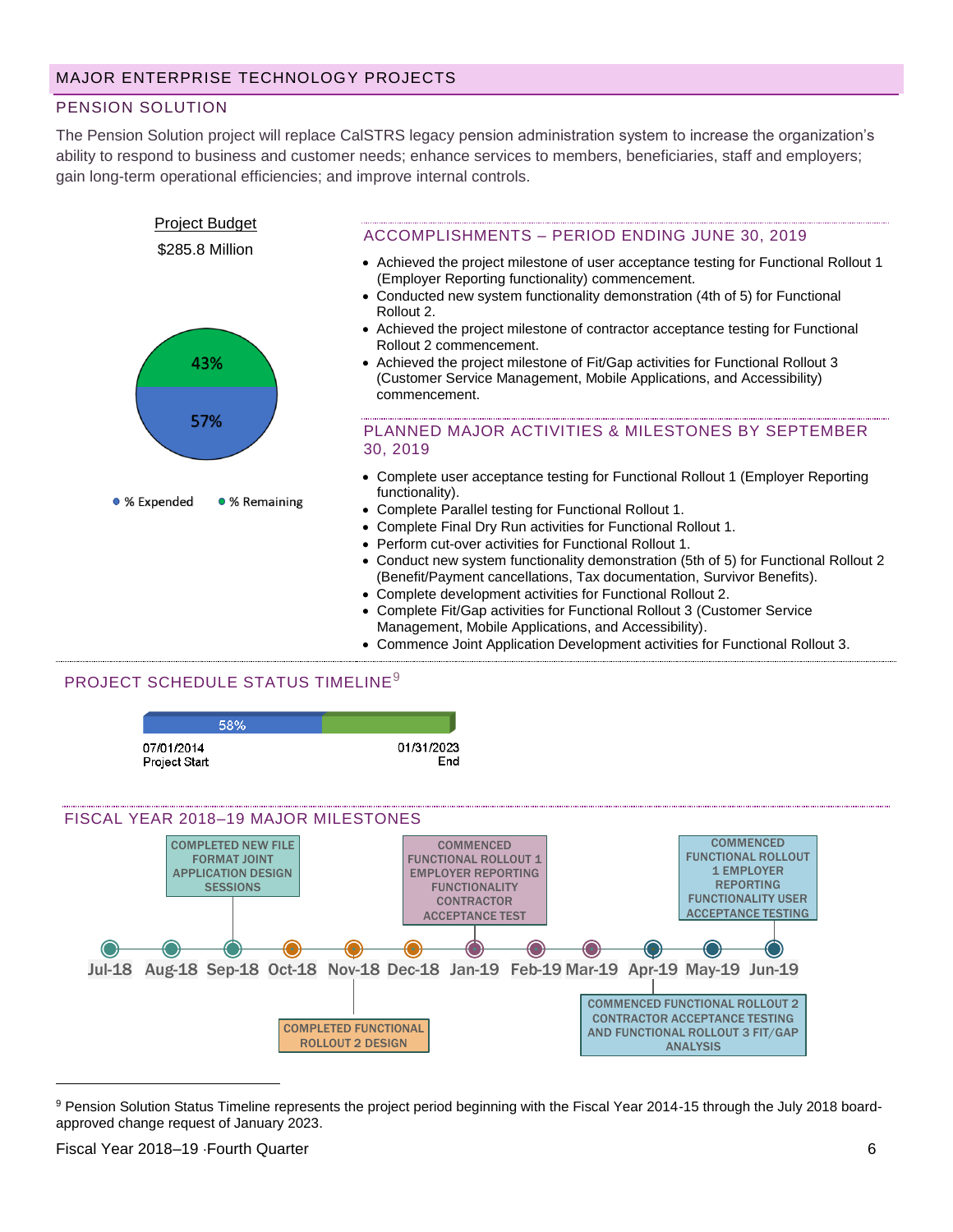## PENSION SOLUTION

The Pension Solution project will replace CalSTRS legacy pension administration system to increase the organization's ability to respond to business and customer needs; enhance services to members, beneficiaries, staff and employers; gain long-term operational efficiencies; and improve internal controls.



## PROJECT SCHEDULE STATUS TIMELINE<sup>9</sup>



<sup>&</sup>lt;sup>9</sup> Pension Solution Status Timeline represents the project period beginning with the Fiscal Year 2014-15 through the July 2018 boardapproved change request of January 2023.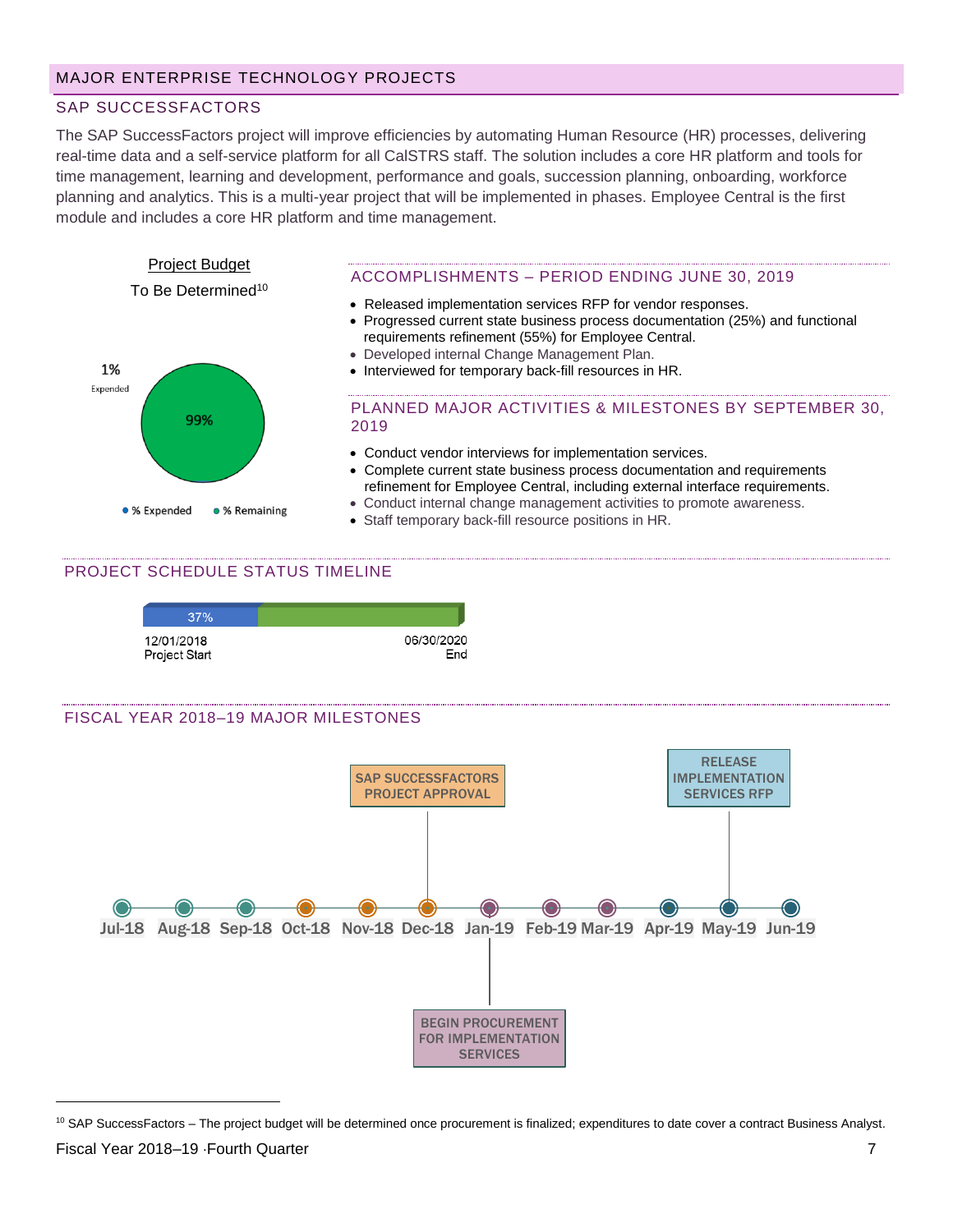## SAP SUCCESSFACTORS

The SAP SuccessFactors project will improve efficiencies by automating Human Resource (HR) processes, delivering real-time data and a self-service platform for all CalSTRS staff. The solution includes a core HR platform and tools for time management, learning and development, performance and goals, succession planning, onboarding, workforce planning and analytics. This is a multi-year project that will be implemented in phases. Employee Central is the first module and includes a core HR platform and time management.



## PROJECT SCHEDULE STATUS TIMELINE



#### FISCAL YEAR 2018–19 MAJOR MILESTONES



<sup>&</sup>lt;sup>10</sup> SAP SuccessFactors – The project budget will be determined once procurement is finalized; expenditures to date cover a contract Business Analyst.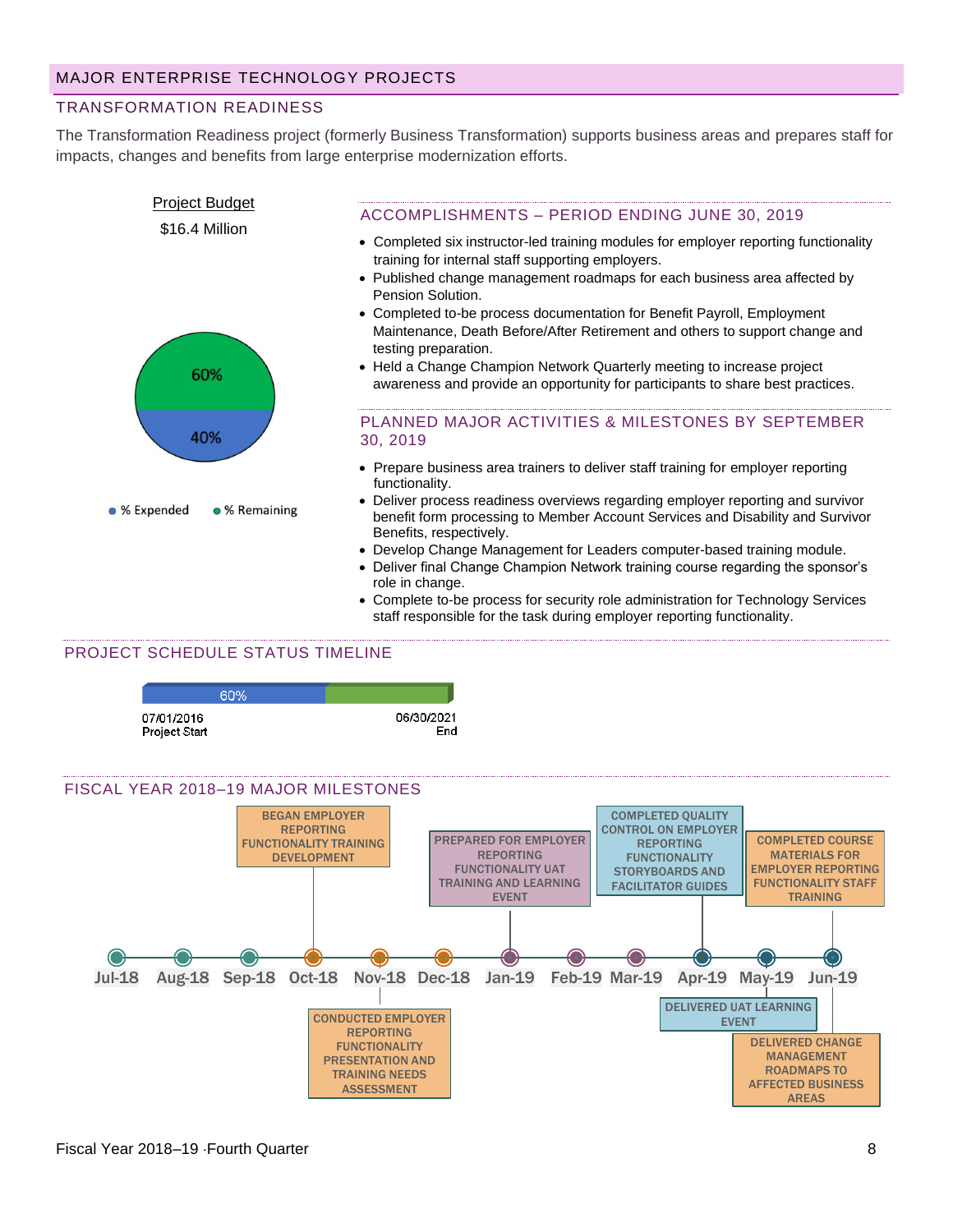#### TRANSFORMATION READINESS

The Transformation Readiness project (formerly Business Transformation) supports business areas and prepares staff for impacts, changes and benefits from large enterprise modernization efforts.



- role in change. • Complete to-be process for security role administration for Technology Services
- staff responsible for the task during employer reporting functionality.

#### PROJECT SCHEDULE STATUS TIMELINE